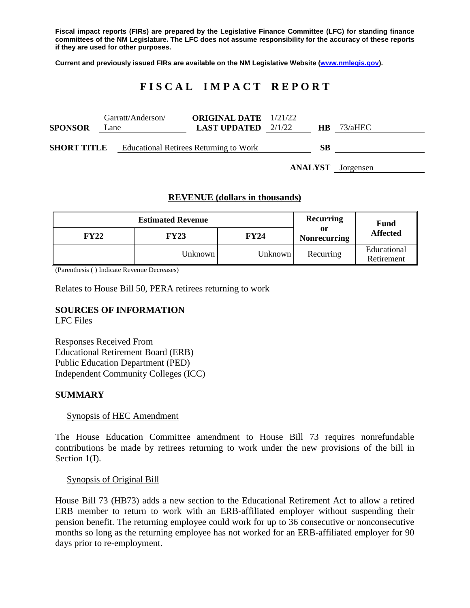**Fiscal impact reports (FIRs) are prepared by the Legislative Finance Committee (LFC) for standing finance committees of the NM Legislature. The LFC does not assume responsibility for the accuracy of these reports if they are used for other purposes.**

**Current and previously issued FIRs are available on the NM Legislative Website [\(www.nmlegis.gov\)](http://www.nmlegis.gov/).**

# **F I S C A L I M P A C T R E P O R T**

| <b>SPONSOR</b>     | Garratt/Anderson/<br>Lane |                                               | <b>ORIGINAL DATE</b> 1/21/22<br><b>LAST UPDATED</b> $2/1/22$ | <b>HB</b> | 73/aHEC                  |
|--------------------|---------------------------|-----------------------------------------------|--------------------------------------------------------------|-----------|--------------------------|
| <b>SHORT TITLE</b> |                           | <b>Educational Retirees Returning to Work</b> |                                                              | SВ        |                          |
|                    |                           |                                               |                                                              |           | <b>ANALYST</b> Jorgensen |

## **REVENUE (dollars in thousands)**

|             | <b>Estimated Revenue</b> | <b>Recurring</b> | Fund                      |                           |
|-------------|--------------------------|------------------|---------------------------|---------------------------|
| <b>FY22</b> | <b>FY23</b>              | <b>FY24</b>      | or<br><b>Nonrecurring</b> | <b>Affected</b>           |
|             | Unknown                  | Unknown          | Recurring                 | Educational<br>Retirement |

(Parenthesis ( ) Indicate Revenue Decreases)

Relates to House Bill 50, PERA retirees returning to work

# **SOURCES OF INFORMATION**

LFC Files

Responses Received From Educational Retirement Board (ERB) Public Education Department (PED) Independent Community Colleges (ICC)

## **SUMMARY**

#### Synopsis of HEC Amendment

The House Education Committee amendment to House Bill 73 requires nonrefundable contributions be made by retirees returning to work under the new provisions of the bill in Section 1(I).

Synopsis of Original Bill

House Bill 73 (HB73) adds a new section to the Educational Retirement Act to allow a retired ERB member to return to work with an ERB-affiliated employer without suspending their pension benefit. The returning employee could work for up to 36 consecutive or nonconsecutive months so long as the returning employee has not worked for an ERB-affiliated employer for 90 days prior to re-employment.